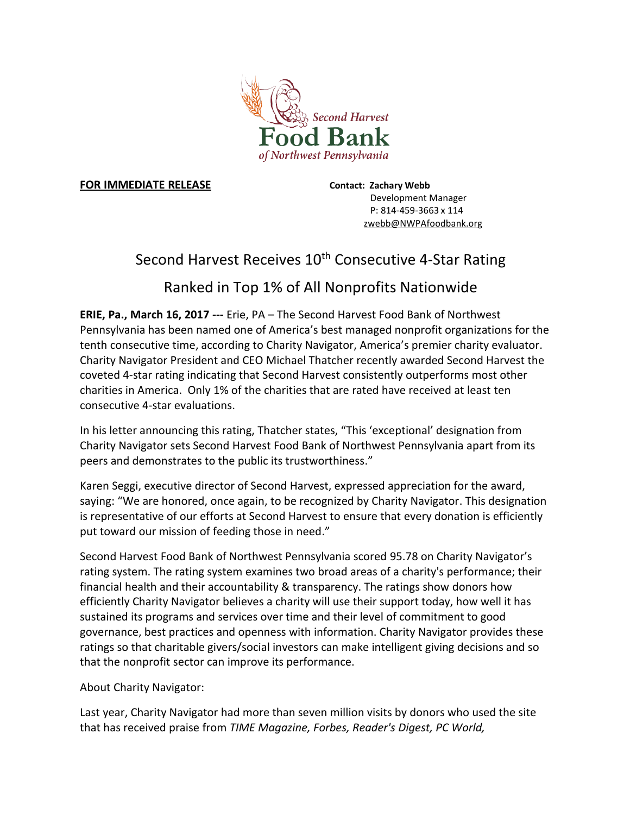

## **FOR IMMEDIATE RELEASE Contact: Zachary Webb**

Development Manager P: 814-459-3663 x 114 zwebb@NWPAfoodbank.org

## Second Harvest Receives 10<sup>th</sup> Consecutive 4-Star Rating

## Ranked in Top 1% of All Nonprofits Nationwide

**ERIE, Pa., March 16, 2017 ---** Erie, PA – The Second Harvest Food Bank of Northwest Pennsylvania has been named one of America's best managed nonprofit organizations for the tenth consecutive time, according to Charity Navigator, America's premier charity evaluator. Charity Navigator President and CEO Michael Thatcher recently awarded Second Harvest the coveted 4-star rating indicating that Second Harvest consistently outperforms most other charities in America. Only 1% of the charities that are rated have received at least ten consecutive 4-star evaluations.

In his letter announcing this rating, Thatcher states, "This 'exceptional' designation from Charity Navigator sets Second Harvest Food Bank of Northwest Pennsylvania apart from its peers and demonstrates to the public its trustworthiness."

Karen Seggi, executive director of Second Harvest, expressed appreciation for the award, saying: "We are honored, once again, to be recognized by Charity Navigator. This designation is representative of our efforts at Second Harvest to ensure that every donation is efficiently put toward our mission of feeding those in need."

Second Harvest Food Bank of Northwest Pennsylvania scored 95.78 on Charity Navigator's rating system. The rating system examines two broad areas of a charity's performance; their financial health and their accountability & transparency. The ratings show donors how efficiently Charity Navigator believes a charity will use their support today, how well it has sustained its programs and services over time and their level of commitment to good governance, best practices and openness with information. Charity Navigator provides these ratings so that charitable givers/social investors can make intelligent giving decisions and so that the nonprofit sector can improve its performance.

About Charity Navigator:

Last year, Charity Navigator had more than seven million visits by donors who used the site that has received praise from *TIME Magazine, Forbes, Reader's Digest, PC World,*